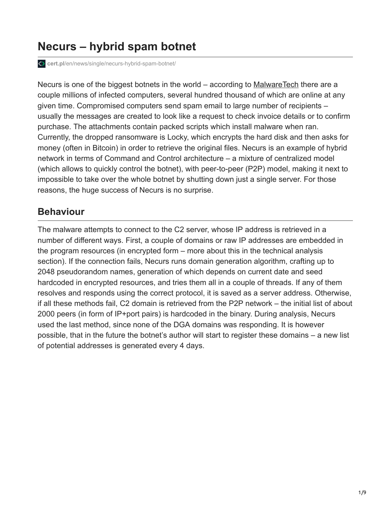# **Necurs – hybrid spam botnet**

**cert.pl**[/en/news/single/necurs-hybrid-spam-botnet/](https://www.cert.pl/en/news/single/necurs-hybrid-spam-botnet/)

Necurs is one of the biggest botnets in the world – according to [MalwareTech](https://intel.malwaretech.com/botnet/necurs_dga/?h=24) there are a couple millions of infected computers, several hundred thousand of which are online at any given time. Compromised computers send spam email to large number of recipients – usually the messages are created to look like a request to check invoice details or to confirm purchase. The attachments contain packed scripts which install malware when ran. Currently, the dropped ransomware is Locky, which encrypts the hard disk and then asks for money (often in Bitcoin) in order to retrieve the original files. Necurs is an example of hybrid network in terms of Command and Control architecture – a mixture of centralized model (which allows to quickly control the botnet), with peer-to-peer (P2P) model, making it next to impossible to take over the whole botnet by shutting down just a single server. For those reasons, the huge success of Necurs is no surprise.

## **Behaviour**

The malware attempts to connect to the C2 server, whose IP address is retrieved in a number of different ways. First, a couple of domains or raw IP addresses are embedded in the program resources (in encrypted form – more about this in the technical analysis section). If the connection fails, Necurs runs domain generation algorithm, crafting up to 2048 pseudorandom names, generation of which depends on current date and seed hardcoded in encrypted resources, and tries them all in a couple of threads. If any of them resolves and responds using the correct protocol, it is saved as a server address. Otherwise, if all these methods fail, C2 domain is retrieved from the P2P network – the initial list of about 2000 peers (in form of IP+port pairs) is hardcoded in the binary. During analysis, Necurs used the last method, since none of the DGA domains was responding. It is however possible, that in the future the botnet's author will start to register these domains – a new list of potential addresses is generated every 4 days.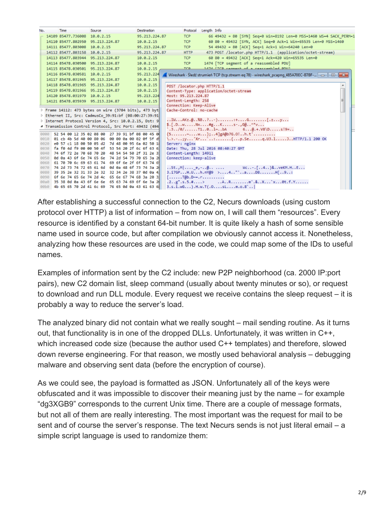| 14109 85477.736008 10.0.2.15<br>66 49432 → 80 [SYN] Seq=0 Win=8192 Len=0 MSS=1460 WS=4 SACK PERM=1<br>95.213.224.87<br>TCP<br>60 80 + 49432 [SYN, ACK] Seq=0 Ack=1 Win=65535 Len=0 MSS=1460<br>14110 85477.802950 95.213.224.87<br>10.0.2.15<br>TCP<br>54 49432 + 80 [ACK] Seg=1 Ack=1 Win=64240 Len=0<br>14111 85477.803008 10.0.2.15<br>95.213.224.87<br><b>TCP</b><br>473 POST /locator.php HTTP/1.1 (application/octet-stream)<br><b>HTTP</b><br>14112 85477.803158 10.0.2.15<br>95.213.224.87<br><b>TCP</b><br>60 80 → 49432 [ACK] Seq=1 Ack=420 Win=65535 Len=0<br>14113 85477.803944 95.213.224.87<br>10.0.2.15<br>1474   TCP segment of a reassembled PDU]<br>14114 85478.030500 95.213.224.87<br>10.0.2.15<br><b>TCP</b><br>1474 FTCP cannont of a caarcambled PDU1<br>TCD.<br>10.0.2.15<br>14115 85478.030501 95.213.224.87<br>95.213.224<br>14116 85478.030581 10.0.2.15<br>Wireshark · Sledź strumień TCP (tcp.stream eq 78) · wireshark_pcapng_485A70EC-B7BF-   - -     ©   X<br>10.0.2.15<br>14117 85478.031965 95.213.224.87<br>14118 85478.031965 95.213.224.87<br>10.0.2.15<br>۸<br>POST /locator.php HTTP/1.1<br>10.0.2.15<br>14119 85478.031966 95.213.224.87<br>Content-Type: application/octet-stream<br>Host: 95.213.224.87<br>14120 85478.031979 10.0.2.15<br>95.213.224<br>Content-Length: 258<br>10.0.2.15<br>14121 85478.035939 95.213.224.87<br>Connection: Keep-Alive<br>Frame 14112: 473 bytes on wire (3784 bits), 473 byt<br>Cache-Control: no-cache<br>D Ethernet II, Src: CadmusCo 39:91:bf (08:00:27:39:91<br>> Internet Protocol Version 4, Src: 10.0.2.15, Dst: 9<br>\$. [.D. .w. Nx. #g. K. s-. , G@. . ^*v.<br>4 Transmission Control Protocol, Src Port: 49432 (494<br>$.3/0/$ T101~bA 6 $0.+V8\$ 0s!9=<br>52 54 00 12 35 02 08 00 27 39 91 bf 08 00 45 0<br>${5$ w W};4]gA@b7G.O!h.t'<br>8080<br>\.>.-;y'Xr`:p.Seq.U3.1JHTTP/1.1 200 OK<br>01 cb 4b 5d 40 00 80 06 00 00 0a 00 02 0f 5f d<br>0010<br>e0 57 c1 18 00 50 05 d2 7d 48 00 95 6a 02 50 18<br>Server: nginx<br>0020<br>fa f0 4d f9 00 00 50 4f 53 54 20 2f 6c 6f 63 6<br>Date: Thu, 28 Jul 2016 08:40:27 GMT<br>0030<br>74 6f 72 2e 70 68 70 20 48 54 54 50 2f 31 2e 3<br>Content-Length: 14911<br>0040<br>0d 0a 43 6f 6e 74 65 6e 74 2d 54 79 70 65 3a 2<br>Connection: keep-alive<br>0050<br>61 70 70 6c 69 63 61 74 69 6f 6e 2f 6f 63 74 6<br>0060<br>St., $M$   $e_1 - @$ Wc-. [4)& veKM.HE<br>74 2d 73 74 72 65 61 6d 0d 0a 48 6f 73 74 3a 2<br>0070<br>3.17GPH.Uh.nY@9 >4"'aD8H[9:<br>39 35 2e 32 31 33 2e 32 32 34 2e 38 37 0d 0a 4<br>0080 | No. |  | Time | Source | <b>Destination</b> | Protocol | Length Info |  |
|------------------------------------------------------------------------------------------------------------------------------------------------------------------------------------------------------------------------------------------------------------------------------------------------------------------------------------------------------------------------------------------------------------------------------------------------------------------------------------------------------------------------------------------------------------------------------------------------------------------------------------------------------------------------------------------------------------------------------------------------------------------------------------------------------------------------------------------------------------------------------------------------------------------------------------------------------------------------------------------------------------------------------------------------------------------------------------------------------------------------------------------------------------------------------------------------------------------------------------------------------------------------------------------------------------------------------------------------------------------------------------------------------------------------------------------------------------------------------------------------------------------------------------------------------------------------------------------------------------------------------------------------------------------------------------------------------------------------------------------------------------------------------------------------------------------------------------------------------------------------------------------------------------------------------------------------------------------------------------------------------------------------------------------------------------------------------------------------------------------------------------------------------------------------------------------------------------------------------------------------------------------------------------------------------------------------------------------------------------------------------------------------------------------------------------------------------------------------------------------------------------------------------------------------------|-----|--|------|--------|--------------------|----------|-------------|--|
|                                                                                                                                                                                                                                                                                                                                                                                                                                                                                                                                                                                                                                                                                                                                                                                                                                                                                                                                                                                                                                                                                                                                                                                                                                                                                                                                                                                                                                                                                                                                                                                                                                                                                                                                                                                                                                                                                                                                                                                                                                                                                                                                                                                                                                                                                                                                                                                                                                                                                                                                                      |     |  |      |        |                    |          |             |  |
|                                                                                                                                                                                                                                                                                                                                                                                                                                                                                                                                                                                                                                                                                                                                                                                                                                                                                                                                                                                                                                                                                                                                                                                                                                                                                                                                                                                                                                                                                                                                                                                                                                                                                                                                                                                                                                                                                                                                                                                                                                                                                                                                                                                                                                                                                                                                                                                                                                                                                                                                                      |     |  |      |        |                    |          |             |  |
|                                                                                                                                                                                                                                                                                                                                                                                                                                                                                                                                                                                                                                                                                                                                                                                                                                                                                                                                                                                                                                                                                                                                                                                                                                                                                                                                                                                                                                                                                                                                                                                                                                                                                                                                                                                                                                                                                                                                                                                                                                                                                                                                                                                                                                                                                                                                                                                                                                                                                                                                                      |     |  |      |        |                    |          |             |  |
|                                                                                                                                                                                                                                                                                                                                                                                                                                                                                                                                                                                                                                                                                                                                                                                                                                                                                                                                                                                                                                                                                                                                                                                                                                                                                                                                                                                                                                                                                                                                                                                                                                                                                                                                                                                                                                                                                                                                                                                                                                                                                                                                                                                                                                                                                                                                                                                                                                                                                                                                                      |     |  |      |        |                    |          |             |  |
|                                                                                                                                                                                                                                                                                                                                                                                                                                                                                                                                                                                                                                                                                                                                                                                                                                                                                                                                                                                                                                                                                                                                                                                                                                                                                                                                                                                                                                                                                                                                                                                                                                                                                                                                                                                                                                                                                                                                                                                                                                                                                                                                                                                                                                                                                                                                                                                                                                                                                                                                                      |     |  |      |        |                    |          |             |  |
|                                                                                                                                                                                                                                                                                                                                                                                                                                                                                                                                                                                                                                                                                                                                                                                                                                                                                                                                                                                                                                                                                                                                                                                                                                                                                                                                                                                                                                                                                                                                                                                                                                                                                                                                                                                                                                                                                                                                                                                                                                                                                                                                                                                                                                                                                                                                                                                                                                                                                                                                                      |     |  |      |        |                    |          |             |  |
|                                                                                                                                                                                                                                                                                                                                                                                                                                                                                                                                                                                                                                                                                                                                                                                                                                                                                                                                                                                                                                                                                                                                                                                                                                                                                                                                                                                                                                                                                                                                                                                                                                                                                                                                                                                                                                                                                                                                                                                                                                                                                                                                                                                                                                                                                                                                                                                                                                                                                                                                                      |     |  |      |        |                    |          |             |  |
|                                                                                                                                                                                                                                                                                                                                                                                                                                                                                                                                                                                                                                                                                                                                                                                                                                                                                                                                                                                                                                                                                                                                                                                                                                                                                                                                                                                                                                                                                                                                                                                                                                                                                                                                                                                                                                                                                                                                                                                                                                                                                                                                                                                                                                                                                                                                                                                                                                                                                                                                                      |     |  |      |        |                    |          |             |  |
|                                                                                                                                                                                                                                                                                                                                                                                                                                                                                                                                                                                                                                                                                                                                                                                                                                                                                                                                                                                                                                                                                                                                                                                                                                                                                                                                                                                                                                                                                                                                                                                                                                                                                                                                                                                                                                                                                                                                                                                                                                                                                                                                                                                                                                                                                                                                                                                                                                                                                                                                                      |     |  |      |        |                    |          |             |  |
|                                                                                                                                                                                                                                                                                                                                                                                                                                                                                                                                                                                                                                                                                                                                                                                                                                                                                                                                                                                                                                                                                                                                                                                                                                                                                                                                                                                                                                                                                                                                                                                                                                                                                                                                                                                                                                                                                                                                                                                                                                                                                                                                                                                                                                                                                                                                                                                                                                                                                                                                                      |     |  |      |        |                    |          |             |  |
|                                                                                                                                                                                                                                                                                                                                                                                                                                                                                                                                                                                                                                                                                                                                                                                                                                                                                                                                                                                                                                                                                                                                                                                                                                                                                                                                                                                                                                                                                                                                                                                                                                                                                                                                                                                                                                                                                                                                                                                                                                                                                                                                                                                                                                                                                                                                                                                                                                                                                                                                                      |     |  |      |        |                    |          |             |  |
|                                                                                                                                                                                                                                                                                                                                                                                                                                                                                                                                                                                                                                                                                                                                                                                                                                                                                                                                                                                                                                                                                                                                                                                                                                                                                                                                                                                                                                                                                                                                                                                                                                                                                                                                                                                                                                                                                                                                                                                                                                                                                                                                                                                                                                                                                                                                                                                                                                                                                                                                                      |     |  |      |        |                    |          |             |  |
|                                                                                                                                                                                                                                                                                                                                                                                                                                                                                                                                                                                                                                                                                                                                                                                                                                                                                                                                                                                                                                                                                                                                                                                                                                                                                                                                                                                                                                                                                                                                                                                                                                                                                                                                                                                                                                                                                                                                                                                                                                                                                                                                                                                                                                                                                                                                                                                                                                                                                                                                                      |     |  |      |        |                    |          |             |  |
|                                                                                                                                                                                                                                                                                                                                                                                                                                                                                                                                                                                                                                                                                                                                                                                                                                                                                                                                                                                                                                                                                                                                                                                                                                                                                                                                                                                                                                                                                                                                                                                                                                                                                                                                                                                                                                                                                                                                                                                                                                                                                                                                                                                                                                                                                                                                                                                                                                                                                                                                                      |     |  |      |        |                    |          |             |  |
|                                                                                                                                                                                                                                                                                                                                                                                                                                                                                                                                                                                                                                                                                                                                                                                                                                                                                                                                                                                                                                                                                                                                                                                                                                                                                                                                                                                                                                                                                                                                                                                                                                                                                                                                                                                                                                                                                                                                                                                                                                                                                                                                                                                                                                                                                                                                                                                                                                                                                                                                                      |     |  |      |        |                    |          |             |  |
|                                                                                                                                                                                                                                                                                                                                                                                                                                                                                                                                                                                                                                                                                                                                                                                                                                                                                                                                                                                                                                                                                                                                                                                                                                                                                                                                                                                                                                                                                                                                                                                                                                                                                                                                                                                                                                                                                                                                                                                                                                                                                                                                                                                                                                                                                                                                                                                                                                                                                                                                                      |     |  |      |        |                    |          |             |  |
|                                                                                                                                                                                                                                                                                                                                                                                                                                                                                                                                                                                                                                                                                                                                                                                                                                                                                                                                                                                                                                                                                                                                                                                                                                                                                                                                                                                                                                                                                                                                                                                                                                                                                                                                                                                                                                                                                                                                                                                                                                                                                                                                                                                                                                                                                                                                                                                                                                                                                                                                                      |     |  |      |        |                    |          |             |  |
|                                                                                                                                                                                                                                                                                                                                                                                                                                                                                                                                                                                                                                                                                                                                                                                                                                                                                                                                                                                                                                                                                                                                                                                                                                                                                                                                                                                                                                                                                                                                                                                                                                                                                                                                                                                                                                                                                                                                                                                                                                                                                                                                                                                                                                                                                                                                                                                                                                                                                                                                                      |     |  |      |        |                    |          |             |  |
|                                                                                                                                                                                                                                                                                                                                                                                                                                                                                                                                                                                                                                                                                                                                                                                                                                                                                                                                                                                                                                                                                                                                                                                                                                                                                                                                                                                                                                                                                                                                                                                                                                                                                                                                                                                                                                                                                                                                                                                                                                                                                                                                                                                                                                                                                                                                                                                                                                                                                                                                                      |     |  |      |        |                    |          |             |  |
|                                                                                                                                                                                                                                                                                                                                                                                                                                                                                                                                                                                                                                                                                                                                                                                                                                                                                                                                                                                                                                                                                                                                                                                                                                                                                                                                                                                                                                                                                                                                                                                                                                                                                                                                                                                                                                                                                                                                                                                                                                                                                                                                                                                                                                                                                                                                                                                                                                                                                                                                                      |     |  |      |        |                    |          |             |  |
|                                                                                                                                                                                                                                                                                                                                                                                                                                                                                                                                                                                                                                                                                                                                                                                                                                                                                                                                                                                                                                                                                                                                                                                                                                                                                                                                                                                                                                                                                                                                                                                                                                                                                                                                                                                                                                                                                                                                                                                                                                                                                                                                                                                                                                                                                                                                                                                                                                                                                                                                                      |     |  |      |        |                    |          |             |  |
|                                                                                                                                                                                                                                                                                                                                                                                                                                                                                                                                                                                                                                                                                                                                                                                                                                                                                                                                                                                                                                                                                                                                                                                                                                                                                                                                                                                                                                                                                                                                                                                                                                                                                                                                                                                                                                                                                                                                                                                                                                                                                                                                                                                                                                                                                                                                                                                                                                                                                                                                                      |     |  |      |        |                    |          |             |  |
|                                                                                                                                                                                                                                                                                                                                                                                                                                                                                                                                                                                                                                                                                                                                                                                                                                                                                                                                                                                                                                                                                                                                                                                                                                                                                                                                                                                                                                                                                                                                                                                                                                                                                                                                                                                                                                                                                                                                                                                                                                                                                                                                                                                                                                                                                                                                                                                                                                                                                                                                                      |     |  |      |        |                    |          |             |  |
|                                                                                                                                                                                                                                                                                                                                                                                                                                                                                                                                                                                                                                                                                                                                                                                                                                                                                                                                                                                                                                                                                                                                                                                                                                                                                                                                                                                                                                                                                                                                                                                                                                                                                                                                                                                                                                                                                                                                                                                                                                                                                                                                                                                                                                                                                                                                                                                                                                                                                                                                                      |     |  |      |        |                    |          |             |  |
|                                                                                                                                                                                                                                                                                                                                                                                                                                                                                                                                                                                                                                                                                                                                                                                                                                                                                                                                                                                                                                                                                                                                                                                                                                                                                                                                                                                                                                                                                                                                                                                                                                                                                                                                                                                                                                                                                                                                                                                                                                                                                                                                                                                                                                                                                                                                                                                                                                                                                                                                                      |     |  |      |        |                    |          |             |  |
|                                                                                                                                                                                                                                                                                                                                                                                                                                                                                                                                                                                                                                                                                                                                                                                                                                                                                                                                                                                                                                                                                                                                                                                                                                                                                                                                                                                                                                                                                                                                                                                                                                                                                                                                                                                                                                                                                                                                                                                                                                                                                                                                                                                                                                                                                                                                                                                                                                                                                                                                                      |     |  |      |        |                    |          |             |  |
| 0090 6f 6e 74 65 6e 74 2d 4c 65 6e 67 74 68 3a 20 3<br>$[T0b. D2$                                                                                                                                                                                                                                                                                                                                                                                                                                                                                                                                                                                                                                                                                                                                                                                                                                                                                                                                                                                                                                                                                                                                                                                                                                                                                                                                                                                                                                                                                                                                                                                                                                                                                                                                                                                                                                                                                                                                                                                                                                                                                                                                                                                                                                                                                                                                                                                                                                                                                    |     |  |      |        |                    |          |             |  |
| $.2g$ " $.5.5.4$ $. ARm'.&.Xx0t.f.Y$<br>00a0 35 38 0d 0a 43 6f 6e 6e 65 63 74 69 6f 6e 3a 2                                                                                                                                                                                                                                                                                                                                                                                                                                                                                                                                                                                                                                                                                                                                                                                                                                                                                                                                                                                                                                                                                                                                                                                                                                                                                                                                                                                                                                                                                                                                                                                                                                                                                                                                                                                                                                                                                                                                                                                                                                                                                                                                                                                                                                                                                                                                                                                                                                                          |     |  |      |        |                    |          |             |  |
| 00b0 4b 65 65 70 2d 41 6c 69 76 65 0d 0a 43 61 63 6<br>$3.5.1.wG).$ H.w. T(.0 sL m.o.8'                                                                                                                                                                                                                                                                                                                                                                                                                                                                                                                                                                                                                                                                                                                                                                                                                                                                                                                                                                                                                                                                                                                                                                                                                                                                                                                                                                                                                                                                                                                                                                                                                                                                                                                                                                                                                                                                                                                                                                                                                                                                                                                                                                                                                                                                                                                                                                                                                                                              |     |  |      |        |                    |          |             |  |

After establishing a successful connection to the C2, Necurs downloads (using custom protocol over HTTP) a list of information – from now on, I will call them "resources". Every resource is identified by a constant 64-bit number. It is quite likely a hash of some sensible name used in source code, but after compilation we obviously cannot access it. Nonetheless, analyzing how these resources are used in the code, we could map some of the IDs to useful names.

Examples of information sent by the C2 include: new P2P neighborhood (ca. 2000 IP:port pairs), new C2 domain list, sleep command (usually about twenty minutes or so), or request to download and run DLL module. Every request we receive contains the sleep request – it is probably a way to reduce the server's load.

The analyzed binary did not contain what we really sought – mail sending routine. As it turns out, that functionality is in one of the dropped DLLs. Unfortunately, it was written in C++, which increased code size (because the author used C++ templates) and therefore, slowed down reverse engineering. For that reason, we mostly used behavioral analysis – debugging malware and observing sent data (before the encryption of course).

As we could see, the payload is formatted as JSON. Unfortunately all of the keys were obfuscated and it was impossible to discover their meaning just by the name – for example "dg3XGB9" corresponds to the current Unix time. There are a couple of message formats, but not all of them are really interesting. The most important was the request for mail to be sent and of course the server's response. The text Necurs sends is not just literal email – a simple script language is used to randomize them: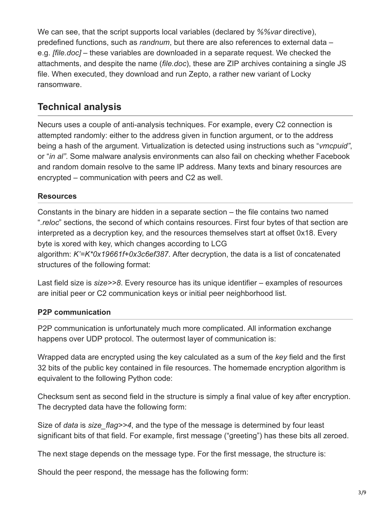We can see, that the script supports local variables (declared by *%%var* directive), predefined functions, such as *randnum*, but there are also references to external data – e.g. *[file.doc]* – these variables are downloaded in a separate request. We checked the attachments, and despite the name (*file.doc*), these are ZIP archives containing a single JS file. When executed, they download and run Zepto, a rather new variant of Locky ransomware.

# **Technical analysis**

Necurs uses a couple of anti-analysis techniques. For example, every C2 connection is attempted randomly: either to the address given in function argument, or to the address being a hash of the argument. Virtualization is detected using instructions such as "*vmcpuid"*, or "*in al"*. Some malware analysis environments can also fail on checking whether Facebook and random domain resolve to the same IP address. Many texts and binary resources are encrypted – communication with peers and C2 as well.

### **Resources**

Constants in the binary are hidden in a separate section – the file contains two named "*.reloc*" sections, the second of which contains resources. First four bytes of that section are interpreted as a decryption key, and the resources themselves start at offset 0x18. Every byte is xored with key, which changes according to LCG algorithm: *K'=K\*0x19661f+0x3c6ef387*. After decryption, the data is a list of concatenated structures of the following format:

Last field size is *size>>8*. Every resource has its unique identifier – examples of resources are initial peer or C2 communication keys or initial peer neighborhood list.

#### **P2P communication**

P2P communication is unfortunately much more complicated. All information exchange happens over UDP protocol. The outermost layer of communication is:

Wrapped data are encrypted using the key calculated as a sum of the *key* field and the first 32 bits of the public key contained in file resources. The homemade encryption algorithm is equivalent to the following Python code:

Checksum sent as second field in the structure is simply a final value of key after encryption. The decrypted data have the following form:

Size of *data* is *size\_flag>>4*, and the type of the message is determined by four least significant bits of that field. For example, first message ("greeting") has these bits all zeroed.

The next stage depends on the message type. For the first message, the structure is:

Should the peer respond, the message has the following form: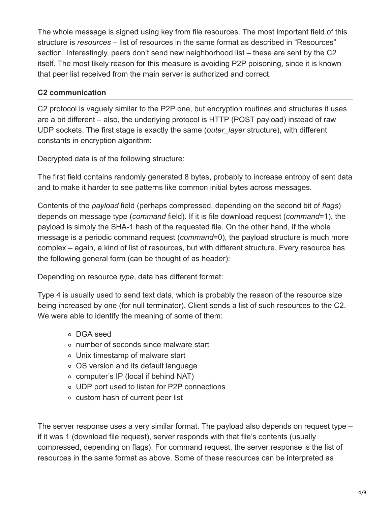The whole message is signed using key from file resources. The most important field of this structure is *resources* – list of resources in the same format as described in "Resources" section. Interestingly, peers don't send new neighborhood list – these are sent by the C2 itself. The most likely reason for this measure is avoiding P2P poisoning, since it is known that peer list received from the main server is authorized and correct.

### **C2 communication**

C2 protocol is vaguely similar to the P2P one, but encryption routines and structures it uses are a bit different – also, the underlying protocol is HTTP (POST payload) instead of raw UDP sockets. The first stage is exactly the same (*outer\_layer* structure), with different constants in encryption algorithm:

Decrypted data is of the following structure:

The first field contains randomly generated 8 bytes, probably to increase entropy of sent data and to make it harder to see patterns like common initial bytes across messages.

Contents of the *payload* field (perhaps compressed, depending on the second bit of *flags*) depends on message type (*command* field). If it is file download request (*command*=1), the payload is simply the SHA-1 hash of the requested file. On the other hand, if the whole message is a periodic command request (*command*=0), the payload structure is much more complex – again, a kind of list of resources, but with different structure. Every resource has the following general form (can be thought of as header):

Depending on resource *type*, data has different format:

Type 4 is usually used to send text data, which is probably the reason of the resource size being increased by one (for null terminator). Client sends a list of such resources to the C2. We were able to identify the meaning of some of them:

- DGA seed
- number of seconds since malware start
- Unix timestamp of malware start
- OS version and its default language
- computer's IP (local if behind NAT)
- UDP port used to listen for P2P connections
- custom hash of current peer list

The server response uses a very similar format. The payload also depends on request type – if it was 1 (download file request), server responds with that file's contents (usually compressed, depending on flags). For command request, the server response is the list of resources in the same format as above. Some of these resources can be interpreted as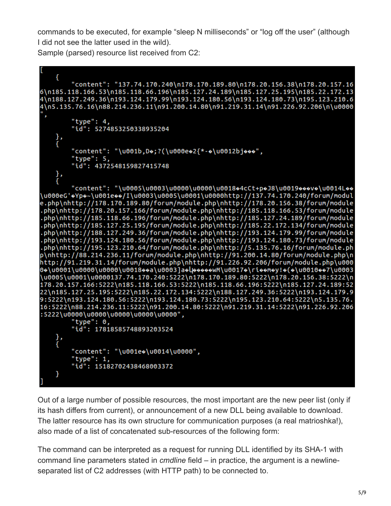commands to be executed, for example "sleep N milliseconds" or "log off the user" (although I did not see the latter used in the wild).

Sample (parsed) resource list received from C2:

```
ł
        "content": "137.74.170.240\n178.170.189.80\n178.20.156.38\n178.20.157.16
6\n185.118.166.53\n185.118.66.196\n185.127.24.189\n185.127.25.195\n185.22.172.13
4\n188.127.249.36\n193.124.179.99\n193.124.180.56\n193.124.180.73\n195.123.210.6
4\n5.135.76.16\n88.214.236.11\n91.200.14.80\n91.219.31.14\n91.226.92.206\n\u0000
        "type": 4."id": 5274853250338935204
        "content": "\u001b,Do;?(\u000eo2{*-o\u0012bjooo",
        "type": 5,
        "id": 4372548159827415748
    },<br>{
        "content": "\u0005\u0003\u0000\u0000\u0018+4cCt+p+J8\u0019+++V+0014L++
\u000eG'\bulletYp\bullet\sim\u001e\bullet\bullet/I\u0003\u0005\u0001\u0000http://137.74.170.240/forum/modul
e.php\nhttp://178.170.189.80/forum/module.php\nhttp://178.20.156.38/forum/module
.php\nhttp://178.20.157.166/forum/module.php\nhttp://185.118.166.53/forum/module
.php\nhttp://185.118.66.196/forum/module.php\nhttp://185.127.24.189/forum/module
.php\nhttp://185.127.25.195/forum/module.php\nhttp://185.22.172.134/forum/module<br>.php\nhttp://188.127.249.36/forum/module.php\nhttp://193.124.179.99/forum/module
php\nhttp://193.124.180.56/forum/module.php\nhttp://193.124.180.73/forum/module
.php\nhttp://195.123.210.64/forum/module.php\nhttp://5.135.76.16/forum/module.ph
p\nhttp://88.214.236.11/forum/module.php\nhttp://91.200.14.80/forum/module.php\n
http://91.219.31.14/forum/module.php\nhttp://91.226.92.206/forum/module.php\u000
\u0005\u0001\u0000137.74.170.240:5222\n178.170.189.80:5222\n178.20.156.38:5222\n
178.20.157.166:5222\n185.118.166.53:5222\n185.118.66.196:5222\n185.127.24.189:52
22\n185.127.25.195:5222\n185.22.172.134:5222\n188.127.249.36:5222\n193.124.179.9
9:5222\n193.124.180.56:5222\n193.124.180.73:5222\n195.123.210.64:5222\n5.135.76.
16:5222\n88.214.236.11:5222\n91.200.14.80:5222\n91.219.31.14:5222\n91.226.92.206
:5222\u0000\u0000\u0000\u0000\u0000",
        "type": 0,
        "id": 17818585748893203524
    },<br>{
        "content": "\u001e+\u0014\u0000",
        "type": 1,
        "id": 15182702438468003372
    }
```
Out of a large number of possible resources, the most important are the new peer list (only if its hash differs from current), or announcement of a new DLL being available to download. The latter resource has its own structure for communication purposes (a real matrioshka!), also made of a list of concatenated sub-resources of the following form:

The command can be interpreted as a request for running DLL identified by its SHA-1 with command line parameters stated in *cmdline* field – in practice, the argument is a newlineseparated list of C2 addresses (with HTTP path) to be connected to.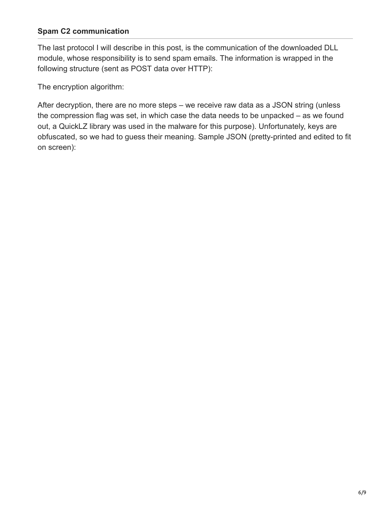#### **Spam C2 communication**

The last protocol I will describe in this post, is the communication of the downloaded DLL module, whose responsibility is to send spam emails. The information is wrapped in the following structure (sent as POST data over HTTP):

The encryption algorithm:

After decryption, there are no more steps – we receive raw data as a JSON string (unless the compression flag was set, in which case the data needs to be unpacked – as we found out, a QuickLZ library was used in the malware for this purpose). Unfortunately, keys are obfuscated, so we had to guess their meaning. Sample JSON (pretty-printed and edited to fit on screen):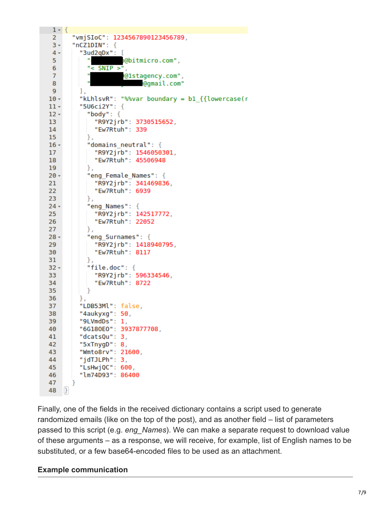```
1 - \{"vmjSIoC": 1234567890123456789,
 2^{\circ}3 -"nCZ1DIN": {
         "3ud2qDx": [4 -,"@bitmicro.com
 5
           "< SNIP >"
 6
 7<sup>7</sup>@lstagency.com",
 8
                           @gmail.com"
 9
         Ι,
         "kLhlsvR": "%%var boundary = b1 {{lowercase(r
10 -"5U6ci2Y": {
11 -"body": \{12 -13<sup>7</sup>"R9Y2jrb": 3730515652,
             "Ew7Rtuh": 339
14
15
           },
           "domains neutral": {
16 -"R9Y2jrb": 1546050301,
17<sup>2</sup>18
             "Ew7Rtuh": 45506948
19
           },
20 -"eng Female Names": {
             "R9Y2jrb": 341469836,
21
             "Ew7Rtuh": 6939
22
23
           },
24 -"eng Names": {
             "R9Y2jrb": 142517772,
25
             "Ew7Rtuh": 22052
26
           },
27
           "eng Surnames": {
28 -29
             "R9Y2jrb": 1418940795,
30
             "Ew7Rtuh": 8117
           },
31
32 -"file.doc": \{33
             "R9Y2jrb": 596334546,
34
             "Ew7Rtuh": 8722
           \mathcal{F}35
         },
36
37
         "LDB53Ml": false,
38
         "4aukyxq": 50,
39
         "9LVmdDs": 1,
40
         "6G180E0": 3937877708,
41
         "dcatsQu": 3,
42
         "5xTnygD": 8,
43
         "Wmto8rv": 21600,
44
         "jdTJLPh": 3,
         "LsHwjQC": 600,
45
         "lm74D93": 86400
46
47
       ł
48
    \mathbf{B}
```
Finally, one of the fields in the received dictionary contains a script used to generate randomized emails (like on the top of the post), and as another field – list of parameters passed to this script (e.g. *eng\_Names*). We can make a separate request to download value of these arguments – as a response, we will receive, for example, list of English names to be substituted, or a few base64-encoded files to be used as an attachment.

#### **Example communication**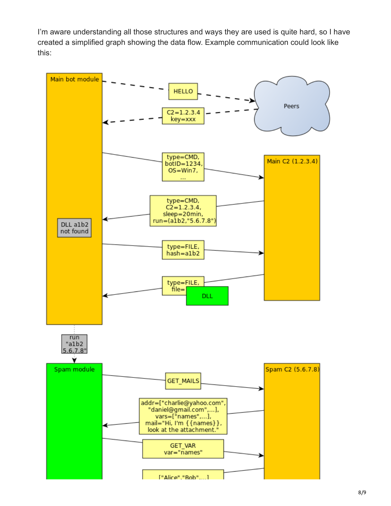I'm aware understanding all those structures and ways they are used is quite hard, so I have created a simplified graph showing the data flow. Example communication could look like this: